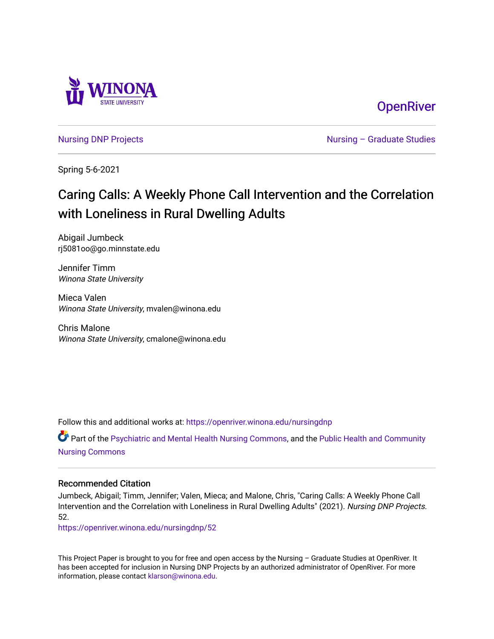

**OpenRiver** 

[Nursing DNP Projects](https://openriver.winona.edu/nursingdnp) **Nursing – Graduate Studies** 

Spring 5-6-2021

# Caring Calls: A Weekly Phone Call Intervention and the Correlation with Loneliness in Rural Dwelling Adults

Abigail Jumbeck rj5081oo@go.minnstate.edu

Jennifer Timm Winona State University

Mieca Valen Winona State University, mvalen@winona.edu

Chris Malone Winona State University, cmalone@winona.edu

Follow this and additional works at: [https://openriver.winona.edu/nursingdnp](https://openriver.winona.edu/nursingdnp?utm_source=openriver.winona.edu%2Fnursingdnp%2F52&utm_medium=PDF&utm_campaign=PDFCoverPages) 

Part of the [Psychiatric and Mental Health Nursing Commons,](http://network.bepress.com/hgg/discipline/724?utm_source=openriver.winona.edu%2Fnursingdnp%2F52&utm_medium=PDF&utm_campaign=PDFCoverPages) and the [Public Health and Community](http://network.bepress.com/hgg/discipline/725?utm_source=openriver.winona.edu%2Fnursingdnp%2F52&utm_medium=PDF&utm_campaign=PDFCoverPages)  [Nursing Commons](http://network.bepress.com/hgg/discipline/725?utm_source=openriver.winona.edu%2Fnursingdnp%2F52&utm_medium=PDF&utm_campaign=PDFCoverPages)

# Recommended Citation

Jumbeck, Abigail; Timm, Jennifer; Valen, Mieca; and Malone, Chris, "Caring Calls: A Weekly Phone Call Intervention and the Correlation with Loneliness in Rural Dwelling Adults" (2021). Nursing DNP Projects. 52.

[https://openriver.winona.edu/nursingdnp/52](https://openriver.winona.edu/nursingdnp/52?utm_source=openriver.winona.edu%2Fnursingdnp%2F52&utm_medium=PDF&utm_campaign=PDFCoverPages)

This Project Paper is brought to you for free and open access by the Nursing – Graduate Studies at OpenRiver. It has been accepted for inclusion in Nursing DNP Projects by an authorized administrator of OpenRiver. For more information, please contact [klarson@winona.edu](mailto:klarson@winona.edu).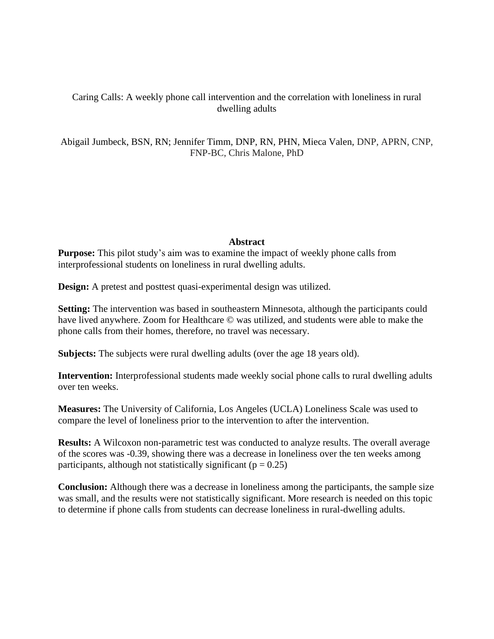# Caring Calls: A weekly phone call intervention and the correlation with loneliness in rural dwelling adults

Abigail Jumbeck, BSN, RN; Jennifer Timm, DNP, RN, PHN, Mieca Valen, DNP, APRN, CNP, FNP-BC, Chris Malone, PhD

# **Abstract**

**Purpose:** This pilot study's aim was to examine the impact of weekly phone calls from interprofessional students on loneliness in rural dwelling adults.

**Design:** A pretest and posttest quasi-experimental design was utilized.

**Setting:** The intervention was based in southeastern Minnesota, although the participants could have lived anywhere. Zoom for Healthcare © was utilized, and students were able to make the phone calls from their homes, therefore, no travel was necessary.

**Subjects:** The subjects were rural dwelling adults (over the age 18 years old).

**Intervention:** Interprofessional students made weekly social phone calls to rural dwelling adults over ten weeks.

**Measures:** The University of California, Los Angeles (UCLA) Loneliness Scale was used to compare the level of loneliness prior to the intervention to after the intervention.

**Results:** A Wilcoxon non-parametric test was conducted to analyze results. The overall average of the scores was -0.39, showing there was a decrease in loneliness over the ten weeks among participants, although not statistically significant ( $p = 0.25$ )

**Conclusion:** Although there was a decrease in loneliness among the participants, the sample size was small, and the results were not statistically significant. More research is needed on this topic to determine if phone calls from students can decrease loneliness in rural-dwelling adults.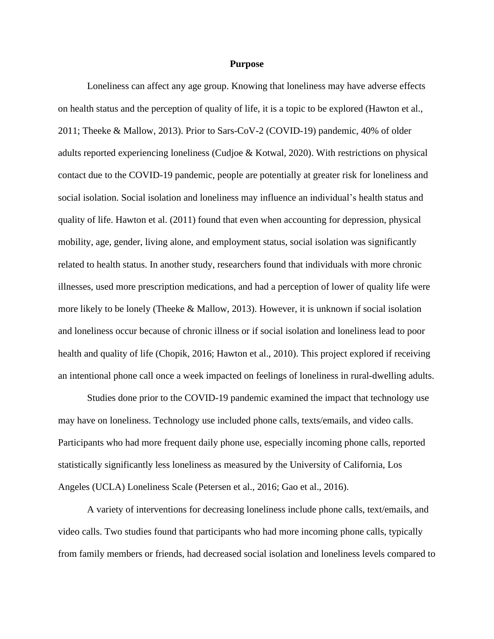#### **Purpose**

Loneliness can affect any age group. Knowing that loneliness may have adverse effects on health status and the perception of quality of life, it is a topic to be explored (Hawton et al., 2011; Theeke & Mallow, 2013). Prior to Sars-CoV-2 (COVID-19) pandemic, 40% of older adults reported experiencing loneliness (Cudjoe & Kotwal, 2020). With restrictions on physical contact due to the COVID-19 pandemic, people are potentially at greater risk for loneliness and social isolation. Social isolation and loneliness may influence an individual's health status and quality of life. Hawton et al. (2011) found that even when accounting for depression, physical mobility, age, gender, living alone, and employment status, social isolation was significantly related to health status. In another study, researchers found that individuals with more chronic illnesses, used more prescription medications, and had a perception of lower of quality life were more likely to be lonely (Theeke & Mallow, 2013). However, it is unknown if social isolation and loneliness occur because of chronic illness or if social isolation and loneliness lead to poor health and quality of life (Chopik, 2016; Hawton et al., 2010). This project explored if receiving an intentional phone call once a week impacted on feelings of loneliness in rural-dwelling adults.

Studies done prior to the COVID-19 pandemic examined the impact that technology use may have on loneliness. Technology use included phone calls, texts/emails, and video calls. Participants who had more frequent daily phone use, especially incoming phone calls, reported statistically significantly less loneliness as measured by the University of California, Los Angeles (UCLA) Loneliness Scale (Petersen et al., 2016; Gao et al., 2016).

A variety of interventions for decreasing loneliness include phone calls, text/emails, and video calls. Two studies found that participants who had more incoming phone calls, typically from family members or friends, had decreased social isolation and loneliness levels compared to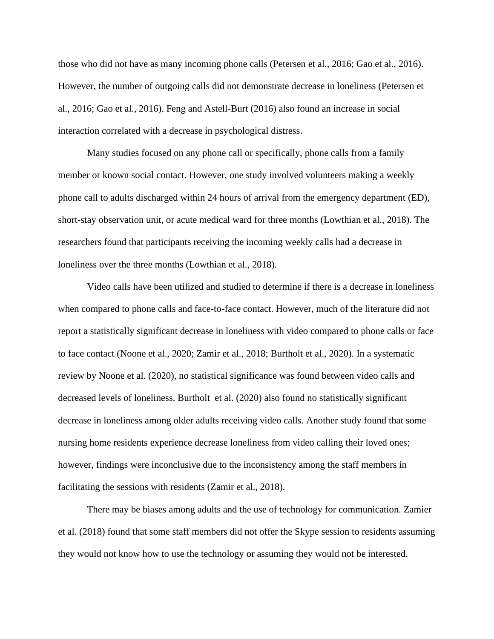those who did not have as many incoming phone calls (Petersen et al., 2016; Gao et al., 2016). However, the number of outgoing calls did not demonstrate decrease in loneliness (Petersen et al., 2016; Gao et al., 2016). Feng and Astell-Burt (2016) also found an increase in social interaction correlated with a decrease in psychological distress.

Many studies focused on any phone call or specifically, phone calls from a family member or known social contact. However, one study involved volunteers making a weekly phone call to adults discharged within 24 hours of arrival from the emergency department (ED), short-stay observation unit, or acute medical ward for three months (Lowthian et al., 2018). The researchers found that participants receiving the incoming weekly calls had a decrease in loneliness over the three months (Lowthian et al., 2018).

Video calls have been utilized and studied to determine if there is a decrease in loneliness when compared to phone calls and face-to-face contact. However, much of the literature did not report a statistically significant decrease in loneliness with video compared to phone calls or face to face contact (Noone et al., 2020; Zamir et al., 2018; Burtholt et al., 2020). In a systematic review by Noone et al. (2020), no statistical significance was found between video calls and decreased levels of loneliness. Burtholt et al. (2020) also found no statistically significant decrease in loneliness among older adults receiving video calls. Another study found that some nursing home residents experience decrease loneliness from video calling their loved ones; however, findings were inconclusive due to the inconsistency among the staff members in facilitating the sessions with residents (Zamir et al., 2018).

There may be biases among adults and the use of technology for communication. Zamier et al. (2018) found that some staff members did not offer the Skype session to residents assuming they would not know how to use the technology or assuming they would not be interested.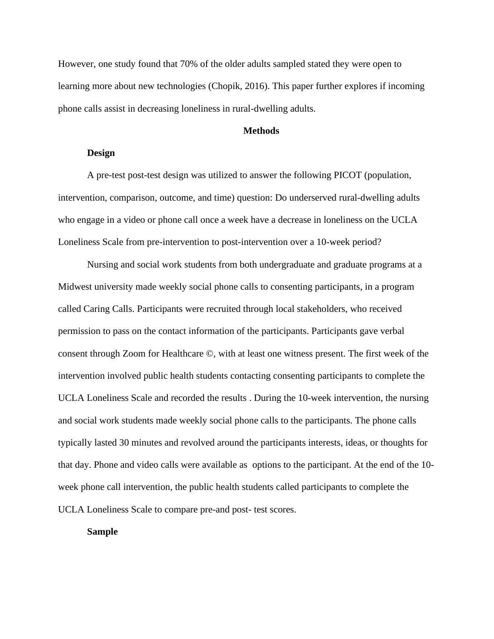However, one study found that 70% of the older adults sampled stated they were open to learning more about new technologies (Chopik, 2016). This paper further explores if incoming phone calls assist in decreasing loneliness in rural-dwelling adults.

# **Methods**

#### **Design**

A pre-test post-test design was utilized to answer the following PICOT (population, intervention, comparison, outcome, and time) question: Do underserved rural-dwelling adults who engage in a video or phone call once a week have a decrease in loneliness on the UCLA Loneliness Scale from pre-intervention to post-intervention over a 10-week period?

Nursing and social work students from both undergraduate and graduate programs at a Midwest university made weekly social phone calls to consenting participants, in a program called Caring Calls. Participants were recruited through local stakeholders, who received permission to pass on the contact information of the participants. Participants gave verbal consent through Zoom for Healthcare ©, with at least one witness present. The first week of the intervention involved public health students contacting consenting participants to complete the UCLA Loneliness Scale and recorded the results . During the 10-week intervention, the nursing and social work students made weekly social phone calls to the participants. The phone calls typically lasted 30 minutes and revolved around the participants interests, ideas, or thoughts for that day. Phone and video calls were available as options to the participant. At the end of the 10 week phone call intervention, the public health students called participants to complete the UCLA Loneliness Scale to compare pre-and post- test scores.

# **Sample**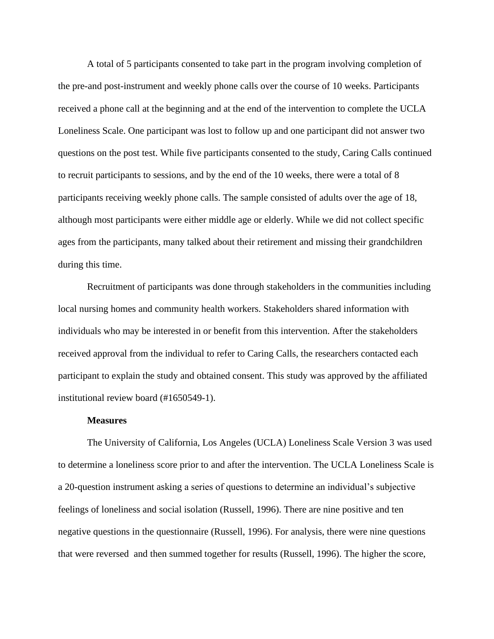A total of 5 participants consented to take part in the program involving completion of the pre-and post-instrument and weekly phone calls over the course of 10 weeks. Participants received a phone call at the beginning and at the end of the intervention to complete the UCLA Loneliness Scale. One participant was lost to follow up and one participant did not answer two questions on the post test. While five participants consented to the study, Caring Calls continued to recruit participants to sessions, and by the end of the 10 weeks, there were a total of 8 participants receiving weekly phone calls. The sample consisted of adults over the age of 18, although most participants were either middle age or elderly. While we did not collect specific ages from the participants, many talked about their retirement and missing their grandchildren during this time.

Recruitment of participants was done through stakeholders in the communities including local nursing homes and community health workers. Stakeholders shared information with individuals who may be interested in or benefit from this intervention. After the stakeholders received approval from the individual to refer to Caring Calls, the researchers contacted each participant to explain the study and obtained consent. This study was approved by the affiliated institutional review board (#1650549-1).

#### **Measures**

The University of California, Los Angeles (UCLA) Loneliness Scale Version 3 was used to determine a loneliness score prior to and after the intervention. The UCLA Loneliness Scale is a 20-question instrument asking a series of questions to determine an individual's subjective feelings of loneliness and social isolation (Russell, 1996). There are nine positive and ten negative questions in the questionnaire (Russell, 1996). For analysis, there were nine questions that were reversed and then summed together for results (Russell, 1996). The higher the score,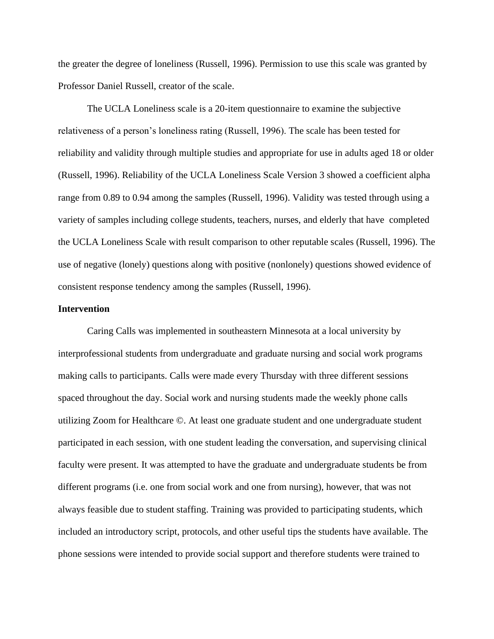the greater the degree of loneliness (Russell, 1996). Permission to use this scale was granted by Professor Daniel Russell, creator of the scale.

The UCLA Loneliness scale is a 20-item questionnaire to examine the subjective relativeness of a person's loneliness rating (Russell, 1996). The scale has been tested for reliability and validity through multiple studies and appropriate for use in adults aged 18 or older (Russell, 1996). Reliability of the UCLA Loneliness Scale Version 3 showed a coefficient alpha range from 0.89 to 0.94 among the samples (Russell, 1996). Validity was tested through using a variety of samples including college students, teachers, nurses, and elderly that have completed the UCLA Loneliness Scale with result comparison to other reputable scales (Russell, 1996). The use of negative (lonely) questions along with positive (nonlonely) questions showed evidence of consistent response tendency among the samples (Russell, 1996).

## **Intervention**

Caring Calls was implemented in southeastern Minnesota at a local university by interprofessional students from undergraduate and graduate nursing and social work programs making calls to participants. Calls were made every Thursday with three different sessions spaced throughout the day. Social work and nursing students made the weekly phone calls utilizing Zoom for Healthcare ©. At least one graduate student and one undergraduate student participated in each session, with one student leading the conversation, and supervising clinical faculty were present. It was attempted to have the graduate and undergraduate students be from different programs (i.e. one from social work and one from nursing), however, that was not always feasible due to student staffing. Training was provided to participating students, which included an introductory script, protocols, and other useful tips the students have available. The phone sessions were intended to provide social support and therefore students were trained to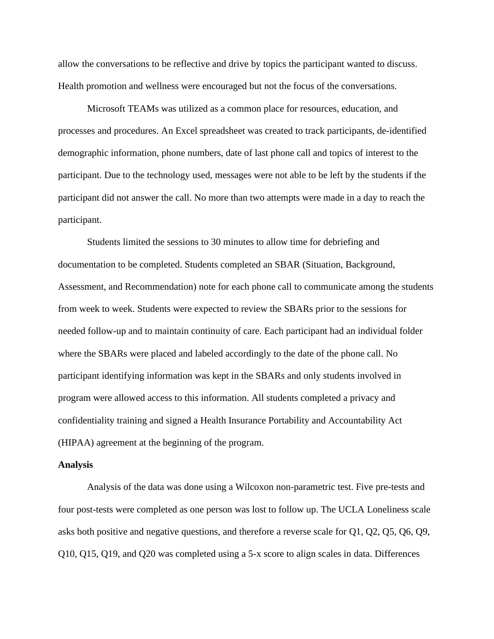allow the conversations to be reflective and drive by topics the participant wanted to discuss. Health promotion and wellness were encouraged but not the focus of the conversations.

Microsoft TEAMs was utilized as a common place for resources, education, and processes and procedures. An Excel spreadsheet was created to track participants, de-identified demographic information, phone numbers, date of last phone call and topics of interest to the participant. Due to the technology used, messages were not able to be left by the students if the participant did not answer the call. No more than two attempts were made in a day to reach the participant.

Students limited the sessions to 30 minutes to allow time for debriefing and documentation to be completed. Students completed an SBAR (Situation, Background, Assessment, and Recommendation) note for each phone call to communicate among the students from week to week. Students were expected to review the SBARs prior to the sessions for needed follow-up and to maintain continuity of care. Each participant had an individual folder where the SBARs were placed and labeled accordingly to the date of the phone call. No participant identifying information was kept in the SBARs and only students involved in program were allowed access to this information. All students completed a privacy and confidentiality training and signed a Health Insurance Portability and Accountability Act (HIPAA) agreement at the beginning of the program.

#### **Analysis**

Analysis of the data was done using a Wilcoxon non-parametric test. Five pre-tests and four post-tests were completed as one person was lost to follow up. The UCLA Loneliness scale asks both positive and negative questions, and therefore a reverse scale for Q1, Q2, Q5, Q6, Q9, Q10, Q15, Q19, and Q20 was completed using a 5-x score to align scales in data. Differences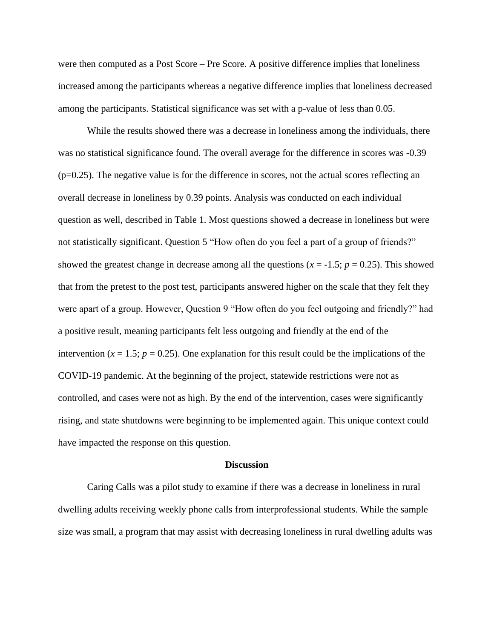were then computed as a Post Score – Pre Score. A positive difference implies that loneliness increased among the participants whereas a negative difference implies that loneliness decreased among the participants. Statistical significance was set with a p-value of less than 0.05.

While the results showed there was a decrease in loneliness among the individuals, there was no statistical significance found. The overall average for the difference in scores was -0.39  $(p=0.25)$ . The negative value is for the difference in scores, not the actual scores reflecting an overall decrease in loneliness by 0.39 points. Analysis was conducted on each individual question as well, described in Table 1. Most questions showed a decrease in loneliness but were not statistically significant. Question 5 "How often do you feel a part of a group of friends?" showed the greatest change in decrease among all the questions  $(x = -1.5; p = 0.25)$ . This showed that from the pretest to the post test, participants answered higher on the scale that they felt they were apart of a group. However, Question 9 "How often do you feel outgoing and friendly?" had a positive result, meaning participants felt less outgoing and friendly at the end of the intervention  $(x = 1.5; p = 0.25)$ . One explanation for this result could be the implications of the COVID-19 pandemic. At the beginning of the project, statewide restrictions were not as controlled, and cases were not as high. By the end of the intervention, cases were significantly rising, and state shutdowns were beginning to be implemented again. This unique context could have impacted the response on this question.

#### **Discussion**

Caring Calls was a pilot study to examine if there was a decrease in loneliness in rural dwelling adults receiving weekly phone calls from interprofessional students. While the sample size was small, a program that may assist with decreasing loneliness in rural dwelling adults was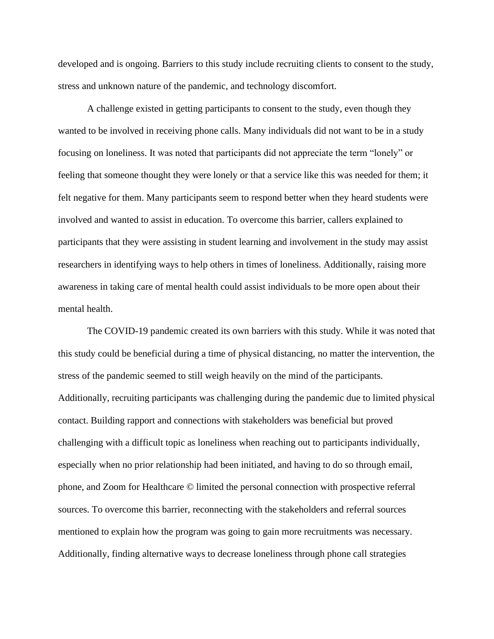developed and is ongoing. Barriers to this study include recruiting clients to consent to the study, stress and unknown nature of the pandemic, and technology discomfort.

A challenge existed in getting participants to consent to the study, even though they wanted to be involved in receiving phone calls. Many individuals did not want to be in a study focusing on loneliness. It was noted that participants did not appreciate the term "lonely" or feeling that someone thought they were lonely or that a service like this was needed for them; it felt negative for them. Many participants seem to respond better when they heard students were involved and wanted to assist in education. To overcome this barrier, callers explained to participants that they were assisting in student learning and involvement in the study may assist researchers in identifying ways to help others in times of loneliness. Additionally, raising more awareness in taking care of mental health could assist individuals to be more open about their mental health.

The COVID-19 pandemic created its own barriers with this study. While it was noted that this study could be beneficial during a time of physical distancing, no matter the intervention, the stress of the pandemic seemed to still weigh heavily on the mind of the participants. Additionally, recruiting participants was challenging during the pandemic due to limited physical contact. Building rapport and connections with stakeholders was beneficial but proved challenging with a difficult topic as loneliness when reaching out to participants individually, especially when no prior relationship had been initiated, and having to do so through email, phone, and Zoom for Healthcare © limited the personal connection with prospective referral sources. To overcome this barrier, reconnecting with the stakeholders and referral sources mentioned to explain how the program was going to gain more recruitments was necessary. Additionally, finding alternative ways to decrease loneliness through phone call strategies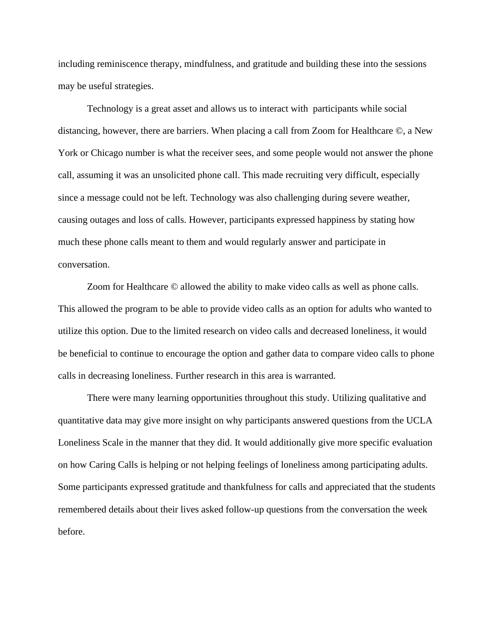including reminiscence therapy, mindfulness, and gratitude and building these into the sessions may be useful strategies.

Technology is a great asset and allows us to interact with participants while social distancing, however, there are barriers. When placing a call from Zoom for Healthcare ©, a New York or Chicago number is what the receiver sees, and some people would not answer the phone call, assuming it was an unsolicited phone call. This made recruiting very difficult, especially since a message could not be left. Technology was also challenging during severe weather, causing outages and loss of calls. However, participants expressed happiness by stating how much these phone calls meant to them and would regularly answer and participate in conversation.

Zoom for Healthcare © allowed the ability to make video calls as well as phone calls. This allowed the program to be able to provide video calls as an option for adults who wanted to utilize this option. Due to the limited research on video calls and decreased loneliness, it would be beneficial to continue to encourage the option and gather data to compare video calls to phone calls in decreasing loneliness. Further research in this area is warranted.

There were many learning opportunities throughout this study. Utilizing qualitative and quantitative data may give more insight on why participants answered questions from the UCLA Loneliness Scale in the manner that they did. It would additionally give more specific evaluation on how Caring Calls is helping or not helping feelings of loneliness among participating adults. Some participants expressed gratitude and thankfulness for calls and appreciated that the students remembered details about their lives asked follow-up questions from the conversation the week before.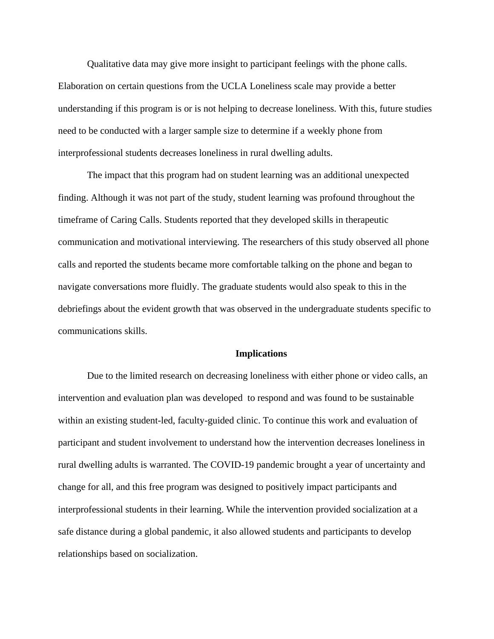Qualitative data may give more insight to participant feelings with the phone calls. Elaboration on certain questions from the UCLA Loneliness scale may provide a better understanding if this program is or is not helping to decrease loneliness. With this, future studies need to be conducted with a larger sample size to determine if a weekly phone from interprofessional students decreases loneliness in rural dwelling adults.

The impact that this program had on student learning was an additional unexpected finding. Although it was not part of the study, student learning was profound throughout the timeframe of Caring Calls. Students reported that they developed skills in therapeutic communication and motivational interviewing. The researchers of this study observed all phone calls and reported the students became more comfortable talking on the phone and began to navigate conversations more fluidly. The graduate students would also speak to this in the debriefings about the evident growth that was observed in the undergraduate students specific to communications skills.

#### **Implications**

Due to the limited research on decreasing loneliness with either phone or video calls, an intervention and evaluation plan was developed to respond and was found to be sustainable within an existing student-led, faculty-guided clinic. To continue this work and evaluation of participant and student involvement to understand how the intervention decreases loneliness in rural dwelling adults is warranted. The COVID-19 pandemic brought a year of uncertainty and change for all, and this free program was designed to positively impact participants and interprofessional students in their learning. While the intervention provided socialization at a safe distance during a global pandemic, it also allowed students and participants to develop relationships based on socialization.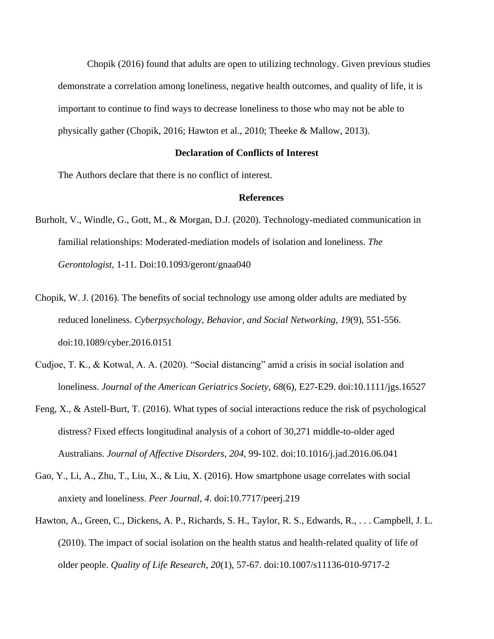Chopik (2016) found that adults are open to utilizing technology. Given previous studies demonstrate a correlation among loneliness, negative health outcomes, and quality of life, it is important to continue to find ways to decrease loneliness to those who may not be able to physically gather (Chopik, 2016; Hawton et al., 2010; Theeke & Mallow, 2013).

## **Declaration of Conflicts of Interest**

The Authors declare that there is no conflict of interest.

## **References**

- Burholt, V., Windle, G., Gott, M., & Morgan, D.J. (2020). Technology-mediated communication in familial relationships: Moderated-mediation models of isolation and loneliness. *The Gerontologist,* 1-11. Doi:10.1093/geront/gnaa040
- Chopik, W. J. (2016). The benefits of social technology use among older adults are mediated by reduced loneliness. *Cyberpsychology, Behavior, and Social Networking, 19*(9), 551-556. doi:10.1089/cyber.2016.0151
- Cudjoe, T. K., & Kotwal, A. A. (2020). "Social distancing" amid a crisis in social isolation and loneliness. *Journal of the American Geriatrics Society, 68*(6), E27-E29. doi:10.1111/jgs.16527
- Feng, X., & Astell-Burt, T. (2016). What types of social interactions reduce the risk of psychological distress? Fixed effects longitudinal analysis of a cohort of 30,271 middle-to-older aged Australians. *Journal of Affective Disorders, 204*, 99-102. doi:10.1016/j.jad.2016.06.041
- Gao, Y., Li, A., Zhu, T., Liu, X., & Liu, X. (2016). How smartphone usage correlates with social anxiety and loneliness. *Peer Journal, 4*. doi:10.7717/peerj.219
- Hawton, A., Green, C., Dickens, A. P., Richards, S. H., Taylor, R. S., Edwards, R., . . . Campbell, J. L. (2010). The impact of social isolation on the health status and health-related quality of life of older people. *Quality of Life Research, 20*(1), 57-67. doi:10.1007/s11136-010-9717-2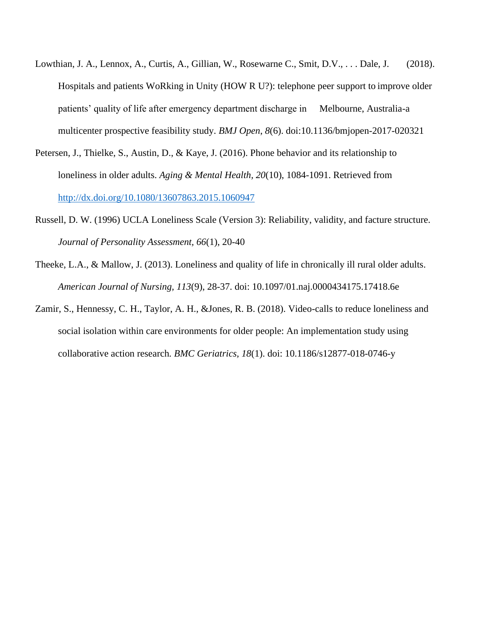- Lowthian, J. A., Lennox, A., Curtis, A., Gillian, W., Rosewarne C., Smit, D.V., ... Dale, J. (2018). Hospitals and patients WoRking in Unity (HOW R U?): telephone peer support to improve older patients' quality of life after emergency department discharge in Melbourne, Australia-a multicenter prospective feasibility study. *BMJ Open*, *8*(6). doi:10.1136/bmjopen-2017-020321
- Petersen, J., Thielke, S., Austin, D., & Kaye, J. (2016). Phone behavior and its relationship to loneliness in older adults. *Aging & Mental Health, 20*(10), 1084-1091. Retrieved from <http://dx.doi.org/10.1080/13607863.2015.1060947>
- Russell, D. W. (1996) UCLA Loneliness Scale (Version 3): Reliability, validity, and facture structure. *Journal of Personality Assessment, 66*(1), 20-40
- Theeke, L.A., & Mallow, J. (2013). Loneliness and quality of life in chronically ill rural older adults. *American Journal of Nursing, 113*(9), 28-37. doi: 10.1097/01.naj.0000434175.17418.6e
- Zamir, S., Hennessy, C. H., Taylor, A. H., &Jones, R. B. (2018). Video-calls to reduce loneliness and social isolation within care environments for older people: An implementation study using collaborative action research*. BMC Geriatrics, 18*(1). doi: 10.1186/s12877-018-0746-y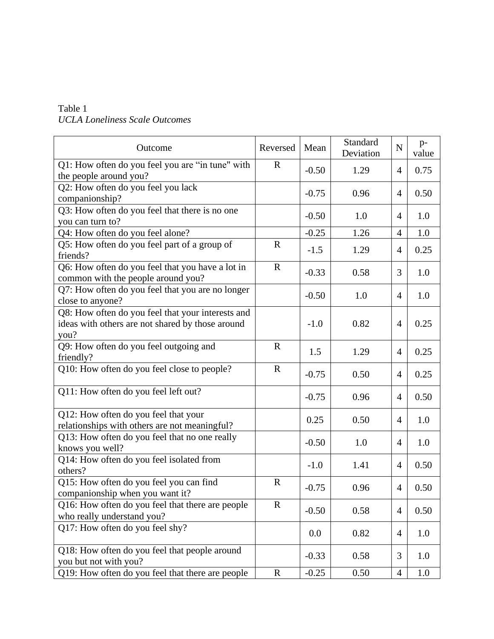# Table 1 *UCLA Loneliness Scale Outcomes*

| Outcome                                                                                                       | Reversed     | Mean    | Standard<br>Deviation | N              | $p-$<br>value |
|---------------------------------------------------------------------------------------------------------------|--------------|---------|-----------------------|----------------|---------------|
| Q1: How often do you feel you are "in tune" with<br>the people around you?                                    | $\mathbf R$  | $-0.50$ | 1.29                  | 4              | 0.75          |
| Q2: How often do you feel you lack<br>companionship?                                                          |              | $-0.75$ | 0.96                  | $\overline{4}$ | 0.50          |
| Q3: How often do you feel that there is no one<br>you can turn to?                                            |              | $-0.50$ | 1.0                   | 4              | 1.0           |
| Q4: How often do you feel alone?                                                                              |              | $-0.25$ | 1.26                  | $\overline{4}$ | 1.0           |
| Q5: How often do you feel part of a group of<br>friends?                                                      | $\mathbf R$  | $-1.5$  | 1.29                  | 4              | 0.25          |
| Q6: How often do you feel that you have a lot in<br>common with the people around you?                        | $\mathbf R$  | $-0.33$ | 0.58                  | 3              | 1.0           |
| Q7: How often do you feel that you are no longer<br>close to anyone?                                          |              | $-0.50$ | 1.0                   | 4              | 1.0           |
| Q8: How often do you feel that your interests and<br>ideas with others are not shared by those around<br>you? |              | $-1.0$  | 0.82                  | $\overline{4}$ | 0.25          |
| Q9: How often do you feel outgoing and<br>friendly?                                                           | $\mathbf R$  | 1.5     | 1.29                  | $\overline{4}$ | 0.25          |
| Q10: How often do you feel close to people?                                                                   | $\mathbf R$  | $-0.75$ | 0.50                  | $\overline{4}$ | 0.25          |
| Q11: How often do you feel left out?                                                                          |              | $-0.75$ | 0.96                  | $\overline{4}$ | 0.50          |
| Q12: How often do you feel that your<br>relationships with others are not meaningful?                         |              | 0.25    | 0.50                  | $\overline{4}$ | 1.0           |
| Q13: How often do you feel that no one really<br>knows you well?                                              |              | $-0.50$ | 1.0                   | $\overline{4}$ | 1.0           |
| Q14: How often do you feel isolated from<br>others?                                                           |              | $-1.0$  | 1.41                  | 4              | 0.50          |
| Q15: How often do you feel you can find<br>companionship when you want it?                                    | $\mathbf{R}$ | $-0.75$ | 0.96                  | 4              | 0.50          |
| Q16: How often do you feel that there are people<br>who really understand you?                                | $\mathbf R$  | $-0.50$ | 0.58                  | 4              | 0.50          |
| Q17: How often do you feel shy?                                                                               |              | 0.0     | 0.82                  | $\overline{4}$ | 1.0           |
| Q18: How often do you feel that people around<br>you but not with you?                                        |              | $-0.33$ | 0.58                  | 3              | 1.0           |
| Q19: How often do you feel that there are people                                                              | $\mathbf R$  | $-0.25$ | 0.50                  | 4              | 1.0           |